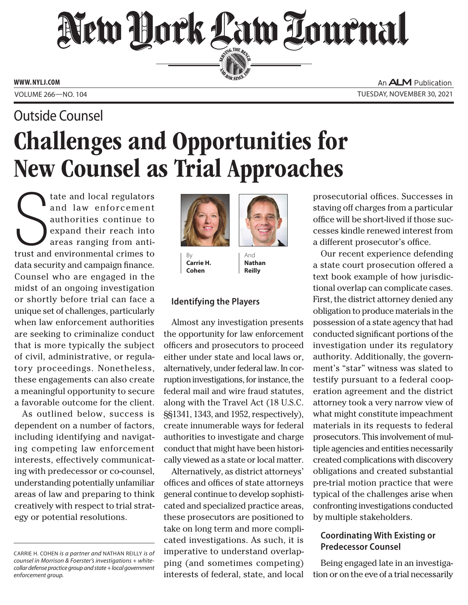# New Hork Law Lournal SERVING THE BET

**ED BAR SINCE 1888** 

**WWW. NYLJ.COM**

An **ALM** Publication VOLUME 266—NO. 104 TUESDAY, NOVEMBER 30, 2021

# Challenges and Opportunities for New Counsel as Trial Approaches Outside Counsel

The and local regulators<br>
and law enforcement<br>
authorities continue to<br>
expand their reach into<br>
areas ranging from anti-<br>
trust and environmental crimes to tate and local regulators and law enforcement authorities continue to expand their reach into areas ranging from antidata security and campaign finance. Counsel who are engaged in the midst of an ongoing investigation or shortly before trial can face a unique set of challenges, particularly when law enforcement authorities are seeking to criminalize conduct that is more typically the subject of civil, administrative, or regulatory proceedings. Nonetheless, these engagements can also create a meaningful opportunity to secure a favorable outcome for the client.

As outlined below, success is dependent on a number of factors, including identifying and navigating competing law enforcement interests, effectively communicating with predecessor or co-counsel, understanding potentially unfamiliar areas of law and preparing to think creatively with respect to trial strategy or potential resolutions.



**Carrie H. Cohen**

And **Nathan Reilly**

## **Identifying the Players**

Almost any investigation presents the opportunity for law enforcement officers and prosecutors to proceed either under state and local laws or, alternatively, under federal law. In corruption investigations, for instance, the federal mail and wire fraud statutes, along with the Travel Act (18 U.S.C. §§1341, 1343, and 1952, respectively), create innumerable ways for federal authorities to investigate and charge conduct that might have been historically viewed as a state or local matter.

Alternatively, as district attorneys' offices and offices of state attorneys general continue to develop sophisticated and specialized practice areas, these prosecutors are positioned to take on long term and more complicated investigations. As such, it is imperative to understand overlapping (and sometimes competing) interests of federal, state, and local prosecutorial offices. Successes in staving off charges from a particular office will be short-lived if those successes kindle renewed interest from a different prosecutor's office.

Our recent experience defending a state court prosecution offered a text book example of how jurisdictional overlap can complicate cases. First, the district attorney denied any obligation to produce materials in the possession of a state agency that had conducted significant portions of the investigation under its regulatory authority. Additionally, the government's "star" witness was slated to testify pursuant to a federal cooperation agreement and the district attorney took a very narrow view of what might constitute impeachment materials in its requests to federal prosecutors. This involvement of multiple agencies and entities necessarily created complications with discovery obligations and created substantial pre-trial motion practice that were typical of the challenges arise when confronting investigations conducted by multiple stakeholders.

# **Coordinating With Existing or Predecessor Counsel**

Being engaged late in an investigation or on the eve of a trial necessarily

CARRIE H. COHEN *is a partner and* NATHAN REILLY *is of counsel in Morrison & Foerster's investigations + whitecollar defense practice group and state + local government enforcement group.*